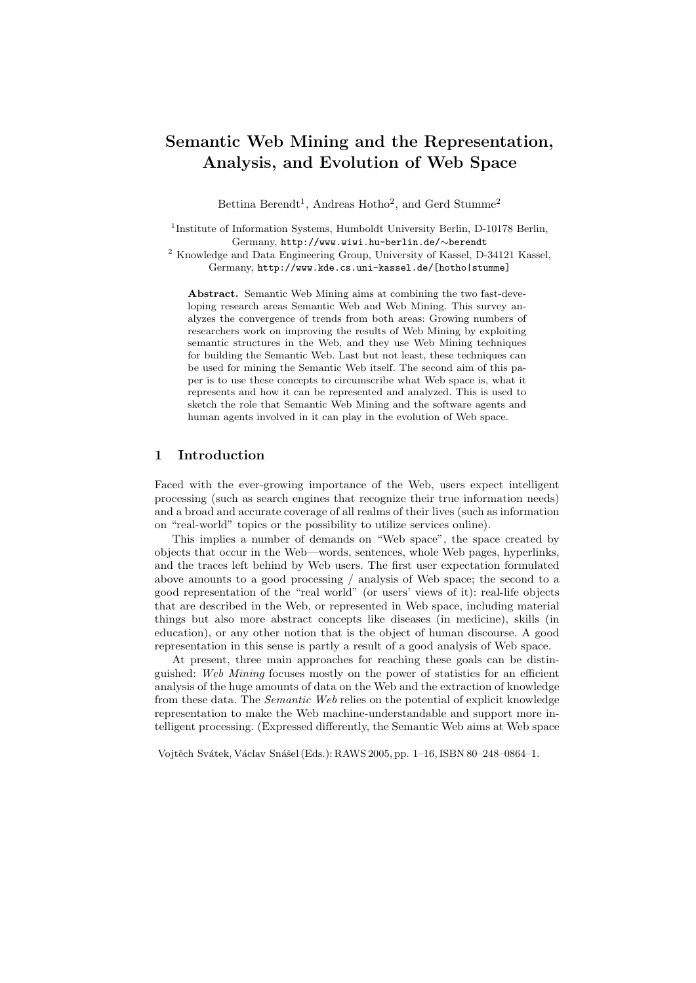# Semantic Web Mining and the Representation, Analysis, and Evolution of Web Space

Bettina Berendt<sup>1</sup>, Andreas Hotho<sup>2</sup>, and Gerd Stumme<sup>2</sup>

 $1$ Institute of Information Systems, Humboldt University Berlin, D-10178 Berlin, Germany, http://www.wiwi.hu-berlin.de/∼berendt <sup>2</sup> Institute of Information Systems, Humboldt University Berlin, D-10178 Berlin,

<sup>2</sup> Knowledge and Data Engineering Group, University of Kassel, D-34121 Kassel, Germany, http://www.kde.cs.uni-kassel.de/[hotho|stumme]

Abstract. Semantic Web Mining aims at combining the two fast-developing research areas Semantic Web and Web Mining. This survey analyzes the convergence of trends from both areas: Growing numbers of researchers work on improving the results of Web Mining by exploiting semantic structures in the Web, and they use Web Mining techniques for building the Semantic Web. Last but not least, these techniques can be used for mining the Semantic Web itself. The second aim of this paper is to use these concepts to circumscribe what Web space is, what it represents and how it can be represented and analyzed. This is used to sketch the role that Semantic Web Mining and the software agents and human agents involved in it can play in the evolution of Web space.

## 1 Introduction

Faced with the ever-growing importance of the Web, users expect intelligent processing (such as search engines that recognize their true information needs) and a broad and accurate coverage of all realms of their lives (such as information on "real-world" topics or the possibility to utilize services online).

This implies a number of demands on "Web space", the space created by objects that occur in the Web—words, sentences, whole Web pages, hyperlinks, and the traces left behind by Web users. The first user expectation formulated above amounts to a good processing / analysis of Web space; the second to a good representation of the "real world" (or users' views of it): real-life objects that are described in the Web, or represented in Web space, including material things but also more abstract concepts like diseases (in medicine), skills (in education), or any other notion that is the object of human discourse. A good representation in this sense is partly a result of a good analysis of Web space.

At present, three main approaches for reaching these goals can be distinguished: Web Mining focuses mostly on the power of statistics for an efficient analysis of the huge amounts of data on the Web and the extraction of knowledge from these data. The Semantic Web relies on the potential of explicit knowledge representation to make the Web machine-understandable and support more intelligent processing. (Expressed differently, the Semantic Web aims at Web space

Vojtěch Svátek, Václav Snášel (Eds.): RAWS 2005, pp. 1–16, ISBN 80–248–0864–1.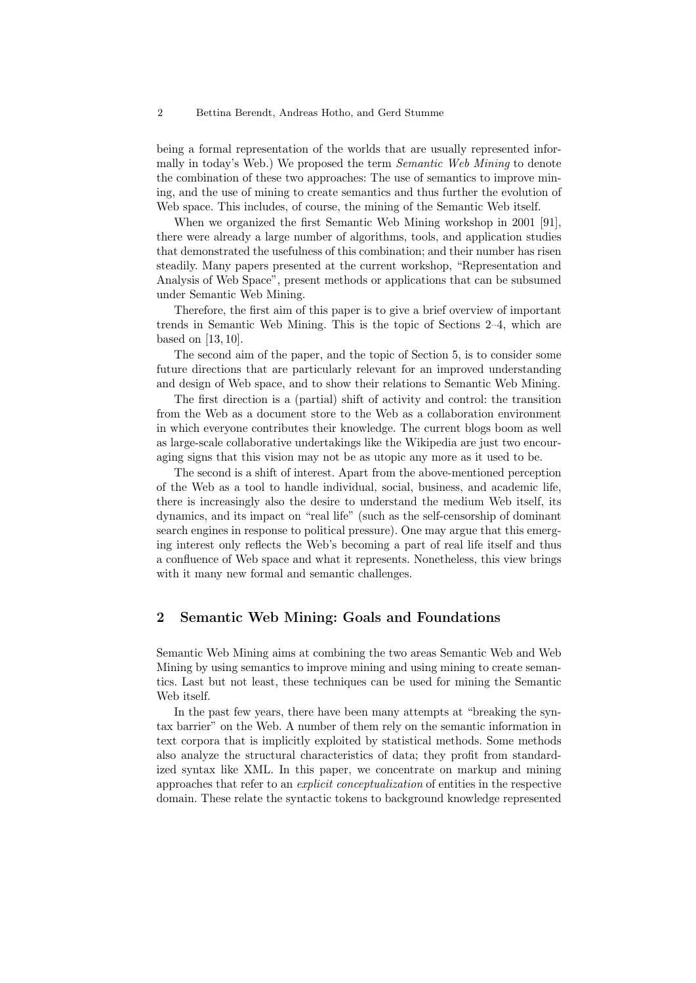being a formal representation of the worlds that are usually represented informally in today's Web.) We proposed the term Semantic Web Mining to denote the combination of these two approaches: The use of semantics to improve mining, and the use of mining to create semantics and thus further the evolution of Web space. This includes, of course, the mining of the Semantic Web itself.

When we organized the first Semantic Web Mining workshop in 2001 [91], there were already a large number of algorithms, tools, and application studies that demonstrated the usefulness of this combination; and their number has risen steadily. Many papers presented at the current workshop, "Representation and Analysis of Web Space", present methods or applications that can be subsumed under Semantic Web Mining.

Therefore, the first aim of this paper is to give a brief overview of important trends in Semantic Web Mining. This is the topic of Sections 2–4, which are based on [13, 10].

The second aim of the paper, and the topic of Section 5, is to consider some future directions that are particularly relevant for an improved understanding and design of Web space, and to show their relations to Semantic Web Mining.

The first direction is a (partial) shift of activity and control: the transition from the Web as a document store to the Web as a collaboration environment in which everyone contributes their knowledge. The current blogs boom as well as large-scale collaborative undertakings like the Wikipedia are just two encouraging signs that this vision may not be as utopic any more as it used to be.

The second is a shift of interest. Apart from the above-mentioned perception of the Web as a tool to handle individual, social, business, and academic life, there is increasingly also the desire to understand the medium Web itself, its dynamics, and its impact on "real life" (such as the self-censorship of dominant search engines in response to political pressure). One may argue that this emerging interest only reflects the Web's becoming a part of real life itself and thus a confluence of Web space and what it represents. Nonetheless, this view brings with it many new formal and semantic challenges.

# 2 Semantic Web Mining: Goals and Foundations

Semantic Web Mining aims at combining the two areas Semantic Web and Web Mining by using semantics to improve mining and using mining to create semantics. Last but not least, these techniques can be used for mining the Semantic Web itself.

In the past few years, there have been many attempts at "breaking the syntax barrier" on the Web. A number of them rely on the semantic information in text corpora that is implicitly exploited by statistical methods. Some methods also analyze the structural characteristics of data; they profit from standardized syntax like XML. In this paper, we concentrate on markup and mining approaches that refer to an explicit conceptualization of entities in the respective domain. These relate the syntactic tokens to background knowledge represented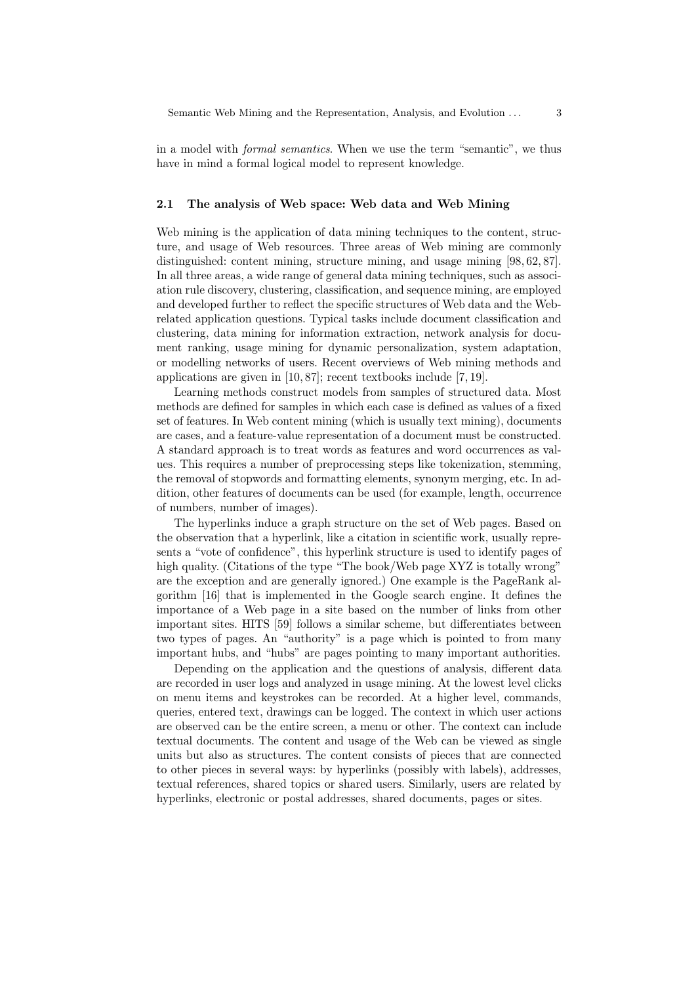in a model with formal semantics. When we use the term "semantic", we thus have in mind a formal logical model to represent knowledge.

#### 2.1 The analysis of Web space: Web data and Web Mining

Web mining is the application of data mining techniques to the content, structure, and usage of Web resources. Three areas of Web mining are commonly distinguished: content mining, structure mining, and usage mining [98, 62, 87]. In all three areas, a wide range of general data mining techniques, such as association rule discovery, clustering, classification, and sequence mining, are employed and developed further to reflect the specific structures of Web data and the Webrelated application questions. Typical tasks include document classification and clustering, data mining for information extraction, network analysis for document ranking, usage mining for dynamic personalization, system adaptation, or modelling networks of users. Recent overviews of Web mining methods and applications are given in [10, 87]; recent textbooks include [7, 19].

Learning methods construct models from samples of structured data. Most methods are defined for samples in which each case is defined as values of a fixed set of features. In Web content mining (which is usually text mining), documents are cases, and a feature-value representation of a document must be constructed. A standard approach is to treat words as features and word occurrences as values. This requires a number of preprocessing steps like tokenization, stemming, the removal of stopwords and formatting elements, synonym merging, etc. In addition, other features of documents can be used (for example, length, occurrence of numbers, number of images).

The hyperlinks induce a graph structure on the set of Web pages. Based on the observation that a hyperlink, like a citation in scientific work, usually represents a "vote of confidence", this hyperlink structure is used to identify pages of high quality. (Citations of the type "The book/Web page XYZ is totally wrong" are the exception and are generally ignored.) One example is the PageRank algorithm [16] that is implemented in the Google search engine. It defines the importance of a Web page in a site based on the number of links from other important sites. HITS [59] follows a similar scheme, but differentiates between two types of pages. An "authority" is a page which is pointed to from many important hubs, and "hubs" are pages pointing to many important authorities.

Depending on the application and the questions of analysis, different data are recorded in user logs and analyzed in usage mining. At the lowest level clicks on menu items and keystrokes can be recorded. At a higher level, commands, queries, entered text, drawings can be logged. The context in which user actions are observed can be the entire screen, a menu or other. The context can include textual documents. The content and usage of the Web can be viewed as single units but also as structures. The content consists of pieces that are connected to other pieces in several ways: by hyperlinks (possibly with labels), addresses, textual references, shared topics or shared users. Similarly, users are related by hyperlinks, electronic or postal addresses, shared documents, pages or sites.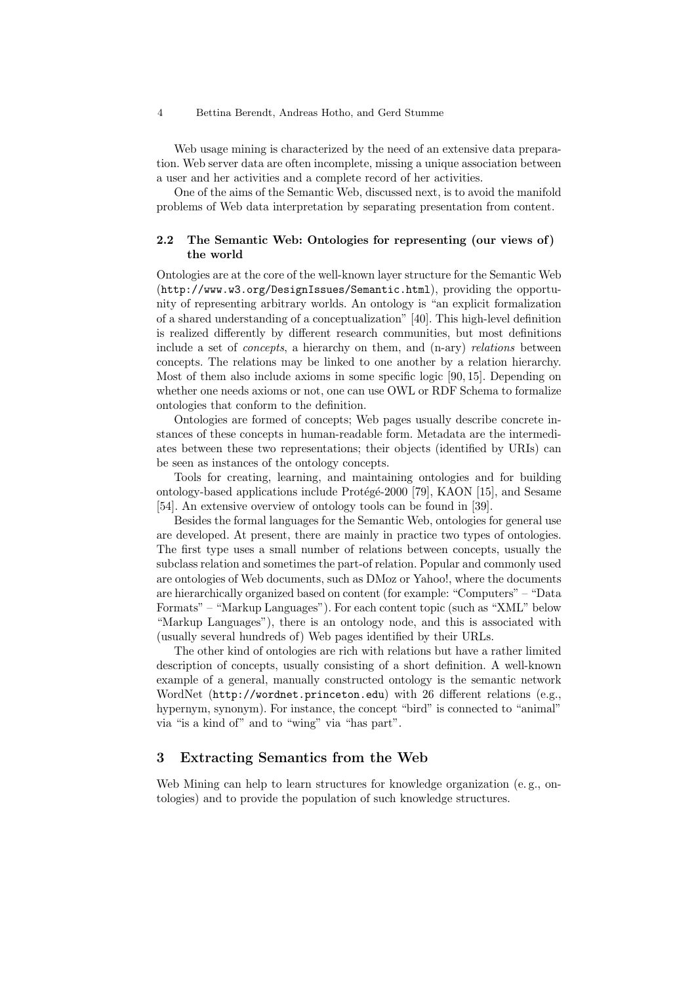Web usage mining is characterized by the need of an extensive data preparation. Web server data are often incomplete, missing a unique association between a user and her activities and a complete record of her activities.

One of the aims of the Semantic Web, discussed next, is to avoid the manifold problems of Web data interpretation by separating presentation from content.

# 2.2 The Semantic Web: Ontologies for representing (our views of) the world

Ontologies are at the core of the well-known layer structure for the Semantic Web (http://www.w3.org/DesignIssues/Semantic.html), providing the opportunity of representing arbitrary worlds. An ontology is "an explicit formalization of a shared understanding of a conceptualization" [40]. This high-level definition is realized differently by different research communities, but most definitions include a set of concepts, a hierarchy on them, and (n-ary) relations between concepts. The relations may be linked to one another by a relation hierarchy. Most of them also include axioms in some specific logic [90, 15]. Depending on whether one needs axioms or not, one can use OWL or RDF Schema to formalize ontologies that conform to the definition.

Ontologies are formed of concepts; Web pages usually describe concrete instances of these concepts in human-readable form. Metadata are the intermediates between these two representations; their objects (identified by URIs) can be seen as instances of the ontology concepts.

Tools for creating, learning, and maintaining ontologies and for building ontology-based applications include Protégé-2000 [79], KAON [15], and Sesame [54]. An extensive overview of ontology tools can be found in [39].

Besides the formal languages for the Semantic Web, ontologies for general use are developed. At present, there are mainly in practice two types of ontologies. The first type uses a small number of relations between concepts, usually the subclass relation and sometimes the part-of relation. Popular and commonly used are ontologies of Web documents, such as DMoz or Yahoo!, where the documents are hierarchically organized based on content (for example: "Computers" – "Data Formats" – "Markup Languages"). For each content topic (such as "XML" below "Markup Languages"), there is an ontology node, and this is associated with (usually several hundreds of) Web pages identified by their URLs.

The other kind of ontologies are rich with relations but have a rather limited description of concepts, usually consisting of a short definition. A well-known example of a general, manually constructed ontology is the semantic network WordNet (http://wordnet.princeton.edu) with 26 different relations (e.g., hypernym, synonym). For instance, the concept "bird" is connected to "animal" via "is a kind of" and to "wing" via "has part".

# 3 Extracting Semantics from the Web

Web Mining can help to learn structures for knowledge organization (e.g., ontologies) and to provide the population of such knowledge structures.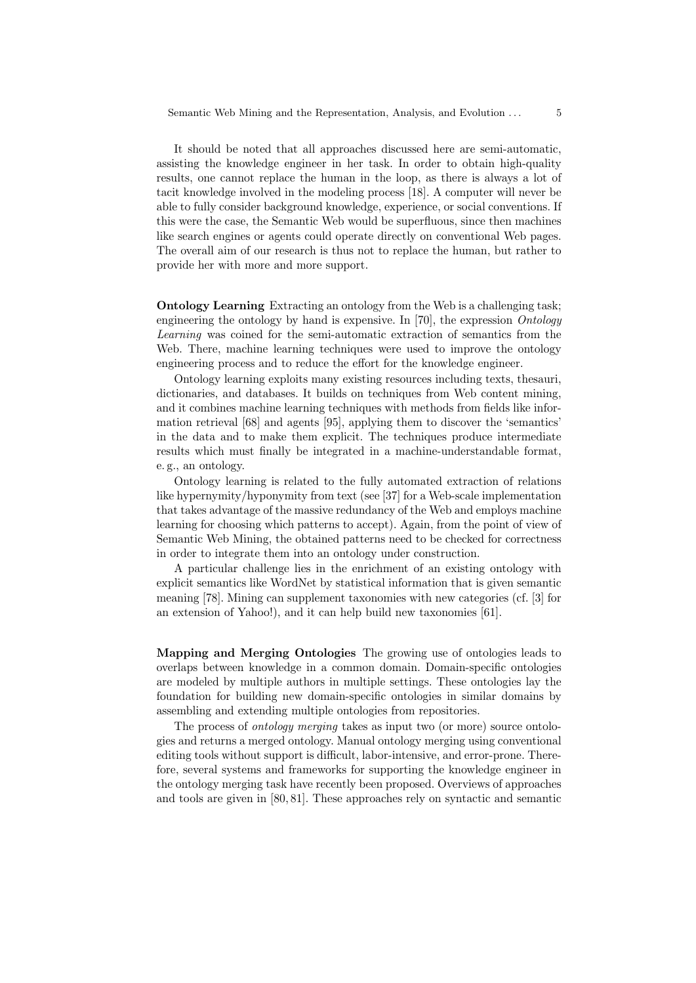It should be noted that all approaches discussed here are semi-automatic, assisting the knowledge engineer in her task. In order to obtain high-quality results, one cannot replace the human in the loop, as there is always a lot of tacit knowledge involved in the modeling process [18]. A computer will never be able to fully consider background knowledge, experience, or social conventions. If this were the case, the Semantic Web would be superfluous, since then machines like search engines or agents could operate directly on conventional Web pages. The overall aim of our research is thus not to replace the human, but rather to provide her with more and more support.

Ontology Learning Extracting an ontology from the Web is a challenging task; engineering the ontology by hand is expensive. In [70], the expression  $Ontology$ Learning was coined for the semi-automatic extraction of semantics from the Web. There, machine learning techniques were used to improve the ontology engineering process and to reduce the effort for the knowledge engineer.

Ontology learning exploits many existing resources including texts, thesauri, dictionaries, and databases. It builds on techniques from Web content mining, and it combines machine learning techniques with methods from fields like information retrieval [68] and agents [95], applying them to discover the 'semantics' in the data and to make them explicit. The techniques produce intermediate results which must finally be integrated in a machine-understandable format, e. g., an ontology.

Ontology learning is related to the fully automated extraction of relations like hypernymity/hyponymity from text (see [37] for a Web-scale implementation that takes advantage of the massive redundancy of the Web and employs machine learning for choosing which patterns to accept). Again, from the point of view of Semantic Web Mining, the obtained patterns need to be checked for correctness in order to integrate them into an ontology under construction.

A particular challenge lies in the enrichment of an existing ontology with explicit semantics like WordNet by statistical information that is given semantic meaning [78]. Mining can supplement taxonomies with new categories (cf. [3] for an extension of Yahoo!), and it can help build new taxonomies [61].

Mapping and Merging Ontologies The growing use of ontologies leads to overlaps between knowledge in a common domain. Domain-specific ontologies are modeled by multiple authors in multiple settings. These ontologies lay the foundation for building new domain-specific ontologies in similar domains by assembling and extending multiple ontologies from repositories.

The process of ontology merging takes as input two (or more) source ontologies and returns a merged ontology. Manual ontology merging using conventional editing tools without support is difficult, labor-intensive, and error-prone. Therefore, several systems and frameworks for supporting the knowledge engineer in the ontology merging task have recently been proposed. Overviews of approaches and tools are given in [80, 81]. These approaches rely on syntactic and semantic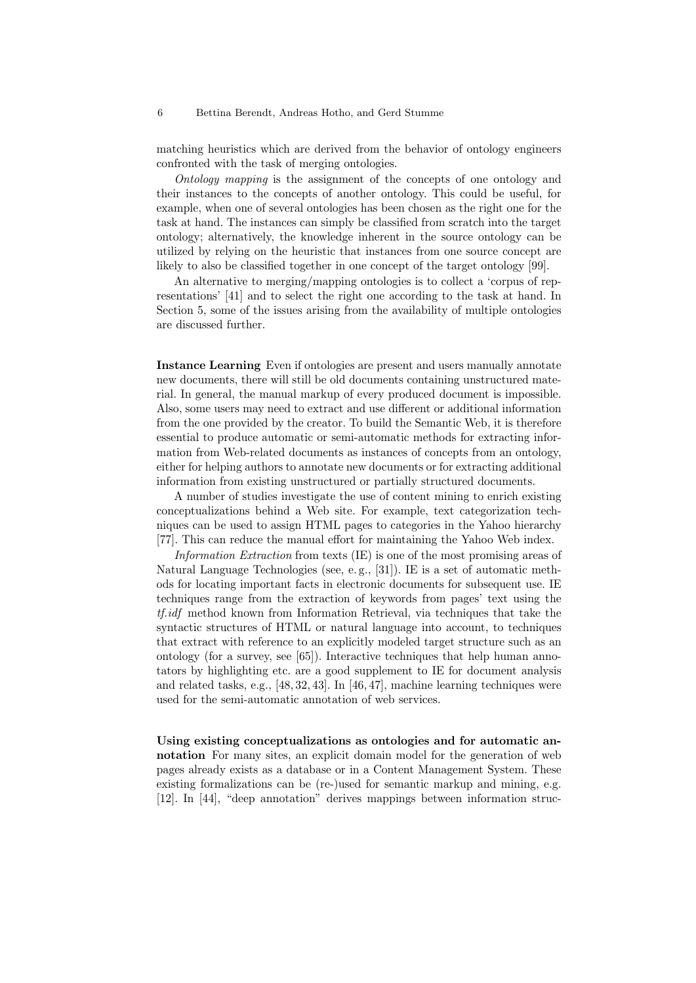matching heuristics which are derived from the behavior of ontology engineers confronted with the task of merging ontologies.

Ontology mapping is the assignment of the concepts of one ontology and their instances to the concepts of another ontology. This could be useful, for example, when one of several ontologies has been chosen as the right one for the task at hand. The instances can simply be classified from scratch into the target ontology; alternatively, the knowledge inherent in the source ontology can be utilized by relying on the heuristic that instances from one source concept are likely to also be classified together in one concept of the target ontology [99].

An alternative to merging/mapping ontologies is to collect a 'corpus of representations' [41] and to select the right one according to the task at hand. In Section 5, some of the issues arising from the availability of multiple ontologies are discussed further.

Instance Learning Even if ontologies are present and users manually annotate new documents, there will still be old documents containing unstructured material. In general, the manual markup of every produced document is impossible. Also, some users may need to extract and use different or additional information from the one provided by the creator. To build the Semantic Web, it is therefore essential to produce automatic or semi-automatic methods for extracting information from Web-related documents as instances of concepts from an ontology, either for helping authors to annotate new documents or for extracting additional information from existing unstructured or partially structured documents.

A number of studies investigate the use of content mining to enrich existing conceptualizations behind a Web site. For example, text categorization techniques can be used to assign HTML pages to categories in the Yahoo hierarchy [77]. This can reduce the manual effort for maintaining the Yahoo Web index.

Information Extraction from texts (IE) is one of the most promising areas of Natural Language Technologies (see, e. g., [31]). IE is a set of automatic methods for locating important facts in electronic documents for subsequent use. IE techniques range from the extraction of keywords from pages' text using the tf.idf method known from Information Retrieval, via techniques that take the syntactic structures of HTML or natural language into account, to techniques that extract with reference to an explicitly modeled target structure such as an ontology (for a survey, see [65]). Interactive techniques that help human annotators by highlighting etc. are a good supplement to IE for document analysis and related tasks, e.g., [48, 32, 43]. In [46, 47], machine learning techniques were used for the semi-automatic annotation of web services.

Using existing conceptualizations as ontologies and for automatic annotation For many sites, an explicit domain model for the generation of web pages already exists as a database or in a Content Management System. These existing formalizations can be (re-)used for semantic markup and mining, e.g. [12]. In [44], "deep annotation" derives mappings between information struc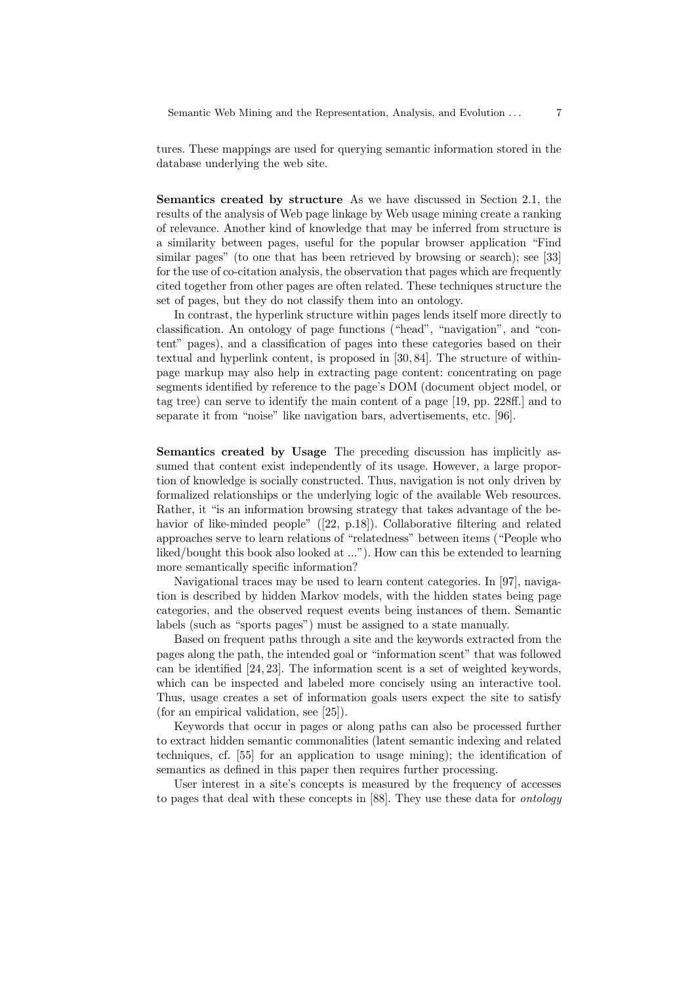tures. These mappings are used for querying semantic information stored in the database underlying the web site.

Semantics created by structure As we have discussed in Section 2.1, the results of the analysis of Web page linkage by Web usage mining create a ranking of relevance. Another kind of knowledge that may be inferred from structure is a similarity between pages, useful for the popular browser application "Find similar pages" (to one that has been retrieved by browsing or search); see [33] for the use of co-citation analysis, the observation that pages which are frequently cited together from other pages are often related. These techniques structure the set of pages, but they do not classify them into an ontology.

In contrast, the hyperlink structure within pages lends itself more directly to classification. An ontology of page functions ("head", "navigation", and "content" pages), and a classification of pages into these categories based on their textual and hyperlink content, is proposed in [30, 84]. The structure of withinpage markup may also help in extracting page content: concentrating on page segments identified by reference to the page's DOM (document object model, or tag tree) can serve to identify the main content of a page [19, pp. 228ff.] and to separate it from "noise" like navigation bars, advertisements, etc. [96].

Semantics created by Usage The preceding discussion has implicitly assumed that content exist independently of its usage. However, a large proportion of knowledge is socially constructed. Thus, navigation is not only driven by formalized relationships or the underlying logic of the available Web resources. Rather, it "is an information browsing strategy that takes advantage of the behavior of like-minded people" ([22, p.18]). Collaborative filtering and related approaches serve to learn relations of "relatedness" between items ("People who liked/bought this book also looked at ..."). How can this be extended to learning more semantically specific information?

Navigational traces may be used to learn content categories. In [97], navigation is described by hidden Markov models, with the hidden states being page categories, and the observed request events being instances of them. Semantic labels (such as "sports pages") must be assigned to a state manually.

Based on frequent paths through a site and the keywords extracted from the pages along the path, the intended goal or "information scent" that was followed can be identified [24, 23]. The information scent is a set of weighted keywords, which can be inspected and labeled more concisely using an interactive tool. Thus, usage creates a set of information goals users expect the site to satisfy (for an empirical validation, see [25]).

Keywords that occur in pages or along paths can also be processed further to extract hidden semantic commonalities (latent semantic indexing and related techniques, cf. [55] for an application to usage mining); the identification of semantics as defined in this paper then requires further processing.

User interest in a site's concepts is measured by the frequency of accesses to pages that deal with these concepts in [88]. They use these data for ontology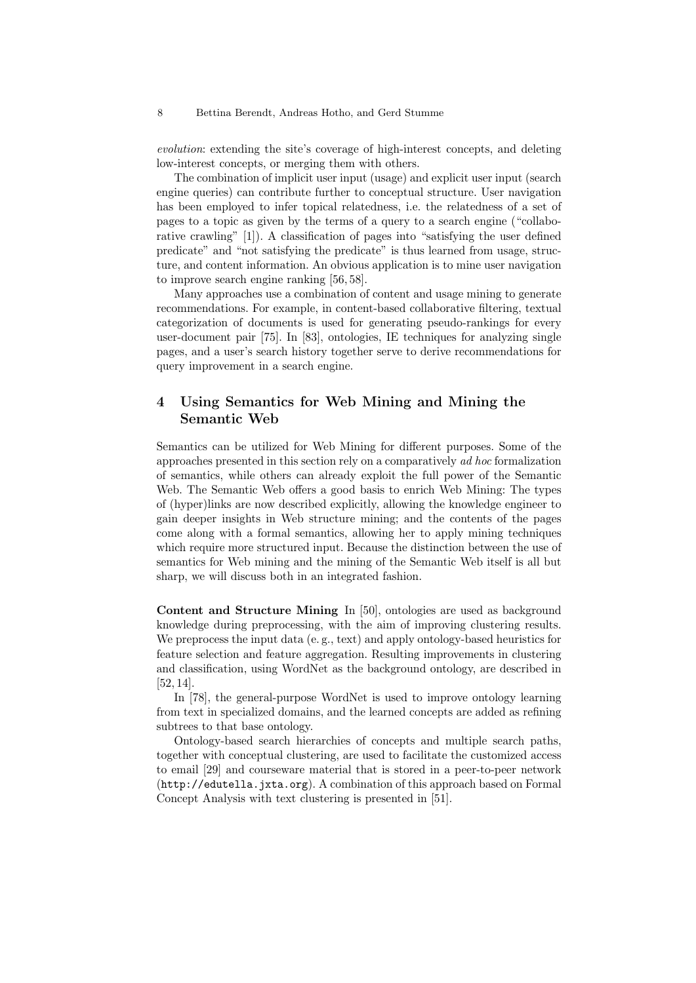evolution: extending the site's coverage of high-interest concepts, and deleting low-interest concepts, or merging them with others.

The combination of implicit user input (usage) and explicit user input (search engine queries) can contribute further to conceptual structure. User navigation has been employed to infer topical relatedness, i.e. the relatedness of a set of pages to a topic as given by the terms of a query to a search engine ("collaborative crawling" [1]). A classification of pages into "satisfying the user defined predicate" and "not satisfying the predicate" is thus learned from usage, structure, and content information. An obvious application is to mine user navigation to improve search engine ranking [56, 58].

Many approaches use a combination of content and usage mining to generate recommendations. For example, in content-based collaborative filtering, textual categorization of documents is used for generating pseudo-rankings for every user-document pair [75]. In [83], ontologies, IE techniques for analyzing single pages, and a user's search history together serve to derive recommendations for query improvement in a search engine.

# 4 Using Semantics for Web Mining and Mining the Semantic Web

Semantics can be utilized for Web Mining for different purposes. Some of the approaches presented in this section rely on a comparatively ad hoc formalization of semantics, while others can already exploit the full power of the Semantic Web. The Semantic Web offers a good basis to enrich Web Mining: The types of (hyper)links are now described explicitly, allowing the knowledge engineer to gain deeper insights in Web structure mining; and the contents of the pages come along with a formal semantics, allowing her to apply mining techniques which require more structured input. Because the distinction between the use of semantics for Web mining and the mining of the Semantic Web itself is all but sharp, we will discuss both in an integrated fashion.

Content and Structure Mining In [50], ontologies are used as background knowledge during preprocessing, with the aim of improving clustering results. We preprocess the input data (e. g., text) and apply ontology-based heuristics for feature selection and feature aggregation. Resulting improvements in clustering and classification, using WordNet as the background ontology, are described in [52, 14].

In [78], the general-purpose WordNet is used to improve ontology learning from text in specialized domains, and the learned concepts are added as refining subtrees to that base ontology.

Ontology-based search hierarchies of concepts and multiple search paths, together with conceptual clustering, are used to facilitate the customized access to email [29] and courseware material that is stored in a peer-to-peer network (http://edutella.jxta.org). A combination of this approach based on Formal Concept Analysis with text clustering is presented in [51].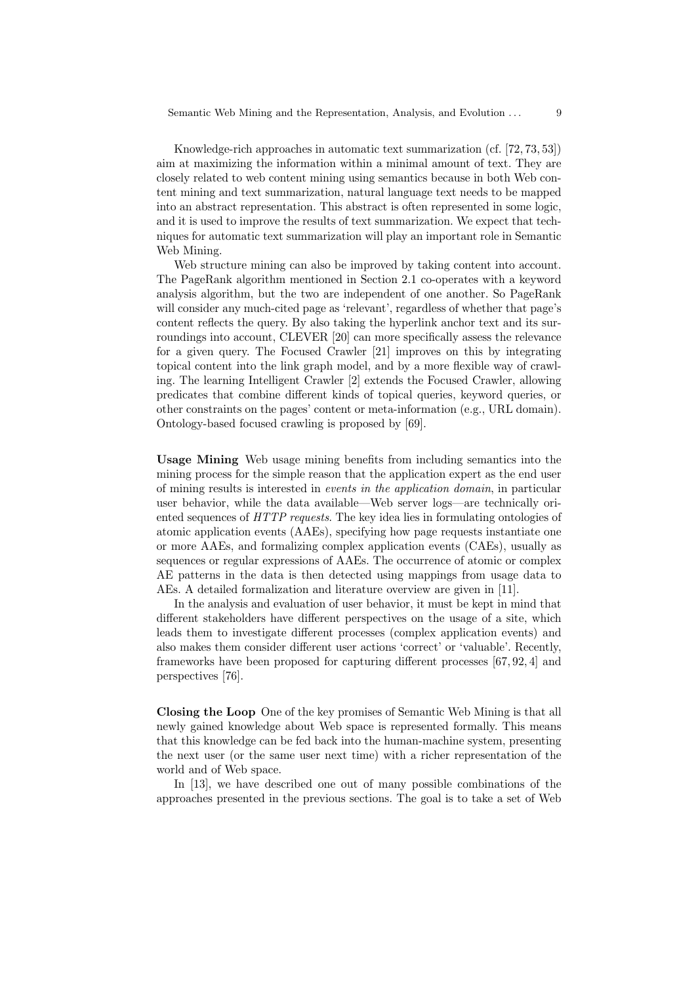Knowledge-rich approaches in automatic text summarization (cf. [72, 73, 53]) aim at maximizing the information within a minimal amount of text. They are closely related to web content mining using semantics because in both Web content mining and text summarization, natural language text needs to be mapped into an abstract representation. This abstract is often represented in some logic, and it is used to improve the results of text summarization. We expect that techniques for automatic text summarization will play an important role in Semantic Web Mining.

Web structure mining can also be improved by taking content into account. The PageRank algorithm mentioned in Section 2.1 co-operates with a keyword analysis algorithm, but the two are independent of one another. So PageRank will consider any much-cited page as 'relevant', regardless of whether that page's content reflects the query. By also taking the hyperlink anchor text and its surroundings into account, CLEVER [20] can more specifically assess the relevance for a given query. The Focused Crawler [21] improves on this by integrating topical content into the link graph model, and by a more flexible way of crawling. The learning Intelligent Crawler [2] extends the Focused Crawler, allowing predicates that combine different kinds of topical queries, keyword queries, or other constraints on the pages' content or meta-information (e.g., URL domain). Ontology-based focused crawling is proposed by [69].

Usage Mining Web usage mining benefits from including semantics into the mining process for the simple reason that the application expert as the end user of mining results is interested in events in the application domain, in particular user behavior, while the data available—Web server logs—are technically oriented sequences of HTTP requests. The key idea lies in formulating ontologies of atomic application events (AAEs), specifying how page requests instantiate one or more AAEs, and formalizing complex application events (CAEs), usually as sequences or regular expressions of AAEs. The occurrence of atomic or complex AE patterns in the data is then detected using mappings from usage data to AEs. A detailed formalization and literature overview are given in [11].

In the analysis and evaluation of user behavior, it must be kept in mind that different stakeholders have different perspectives on the usage of a site, which leads them to investigate different processes (complex application events) and also makes them consider different user actions 'correct' or 'valuable'. Recently, frameworks have been proposed for capturing different processes [67, 92, 4] and perspectives [76].

Closing the Loop One of the key promises of Semantic Web Mining is that all newly gained knowledge about Web space is represented formally. This means that this knowledge can be fed back into the human-machine system, presenting the next user (or the same user next time) with a richer representation of the world and of Web space.

In [13], we have described one out of many possible combinations of the approaches presented in the previous sections. The goal is to take a set of Web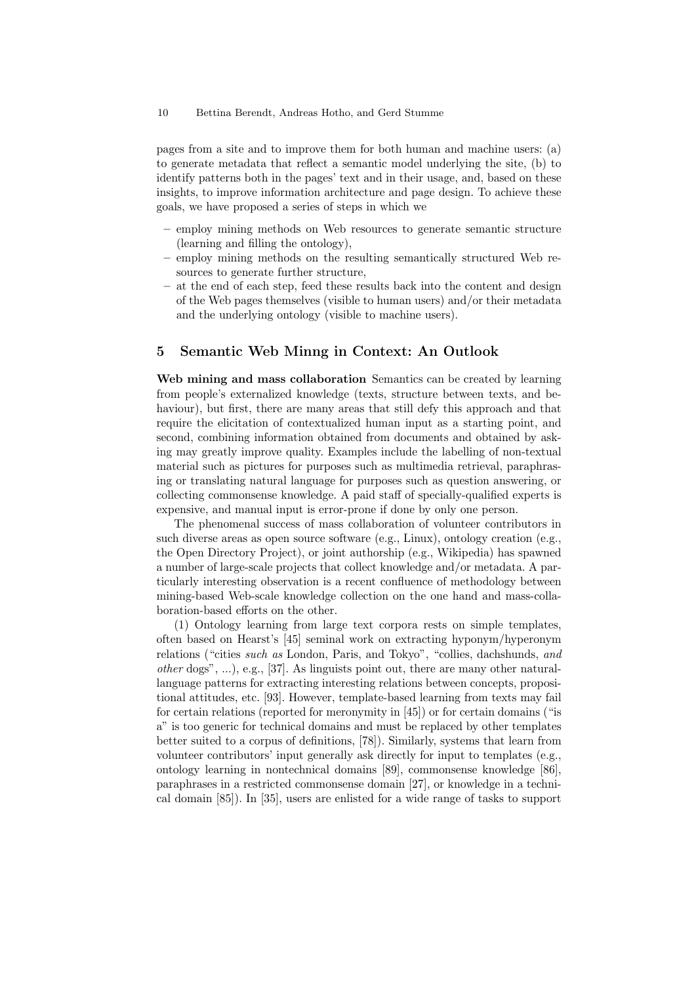pages from a site and to improve them for both human and machine users: (a) to generate metadata that reflect a semantic model underlying the site, (b) to identify patterns both in the pages' text and in their usage, and, based on these insights, to improve information architecture and page design. To achieve these goals, we have proposed a series of steps in which we

- employ mining methods on Web resources to generate semantic structure (learning and filling the ontology),
- employ mining methods on the resulting semantically structured Web resources to generate further structure,
- at the end of each step, feed these results back into the content and design of the Web pages themselves (visible to human users) and/or their metadata and the underlying ontology (visible to machine users).

# 5 Semantic Web Minng in Context: An Outlook

Web mining and mass collaboration Semantics can be created by learning from people's externalized knowledge (texts, structure between texts, and behaviour), but first, there are many areas that still defy this approach and that require the elicitation of contextualized human input as a starting point, and second, combining information obtained from documents and obtained by asking may greatly improve quality. Examples include the labelling of non-textual material such as pictures for purposes such as multimedia retrieval, paraphrasing or translating natural language for purposes such as question answering, or collecting commonsense knowledge. A paid staff of specially-qualified experts is expensive, and manual input is error-prone if done by only one person.

The phenomenal success of mass collaboration of volunteer contributors in such diverse areas as open source software (e.g., Linux), ontology creation (e.g., the Open Directory Project), or joint authorship (e.g., Wikipedia) has spawned a number of large-scale projects that collect knowledge and/or metadata. A particularly interesting observation is a recent confluence of methodology between mining-based Web-scale knowledge collection on the one hand and mass-collaboration-based efforts on the other.

(1) Ontology learning from large text corpora rests on simple templates, often based on Hearst's [45] seminal work on extracting hyponym/hyperonym relations ("cities such as London, Paris, and Tokyo", "collies, dachshunds, and other dogs", ...), e.g., [37]. As linguists point out, there are many other naturallanguage patterns for extracting interesting relations between concepts, propositional attitudes, etc. [93]. However, template-based learning from texts may fail for certain relations (reported for meronymity in [45]) or for certain domains ("is a" is too generic for technical domains and must be replaced by other templates better suited to a corpus of definitions, [78]). Similarly, systems that learn from volunteer contributors' input generally ask directly for input to templates (e.g., ontology learning in nontechnical domains [89], commonsense knowledge [86], paraphrases in a restricted commonsense domain [27], or knowledge in a technical domain [85]). In [35], users are enlisted for a wide range of tasks to support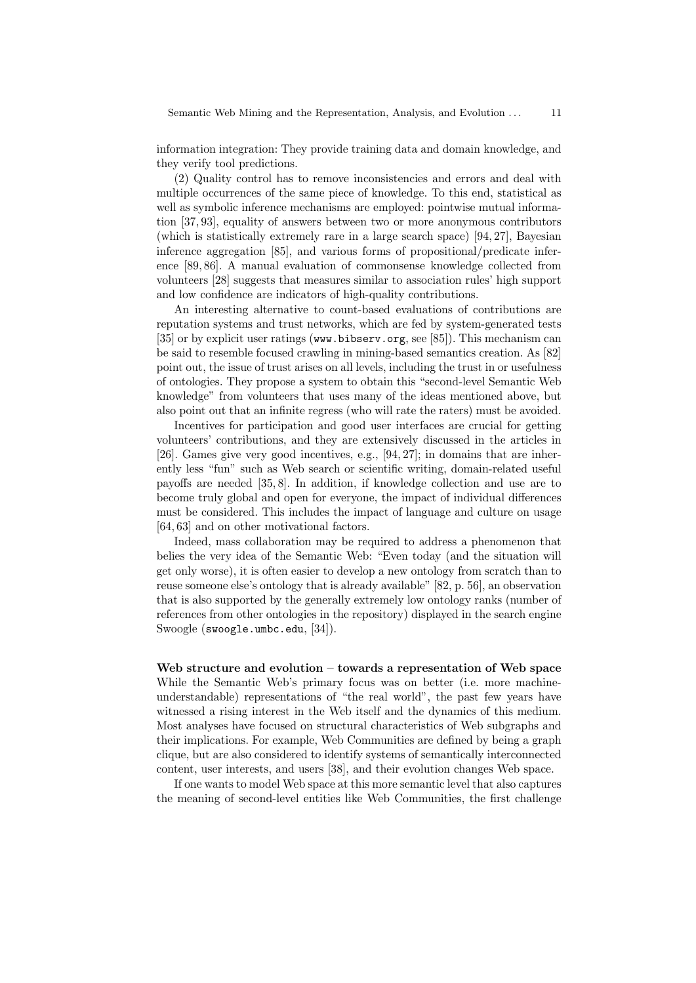information integration: They provide training data and domain knowledge, and they verify tool predictions.

(2) Quality control has to remove inconsistencies and errors and deal with multiple occurrences of the same piece of knowledge. To this end, statistical as well as symbolic inference mechanisms are employed: pointwise mutual information [37, 93], equality of answers between two or more anonymous contributors (which is statistically extremely rare in a large search space) [94, 27], Bayesian inference aggregation [85], and various forms of propositional/predicate inference [89, 86]. A manual evaluation of commonsense knowledge collected from volunteers [28] suggests that measures similar to association rules' high support and low confidence are indicators of high-quality contributions.

An interesting alternative to count-based evaluations of contributions are reputation systems and trust networks, which are fed by system-generated tests [35] or by explicit user ratings (www.bibserv.org, see [85]). This mechanism can be said to resemble focused crawling in mining-based semantics creation. As [82] point out, the issue of trust arises on all levels, including the trust in or usefulness of ontologies. They propose a system to obtain this "second-level Semantic Web knowledge" from volunteers that uses many of the ideas mentioned above, but also point out that an infinite regress (who will rate the raters) must be avoided.

Incentives for participation and good user interfaces are crucial for getting volunteers' contributions, and they are extensively discussed in the articles in [26]. Games give very good incentives, e.g., [94, 27]; in domains that are inherently less "fun" such as Web search or scientific writing, domain-related useful payoffs are needed [35, 8]. In addition, if knowledge collection and use are to become truly global and open for everyone, the impact of individual differences must be considered. This includes the impact of language and culture on usage [64, 63] and on other motivational factors.

Indeed, mass collaboration may be required to address a phenomenon that belies the very idea of the Semantic Web: "Even today (and the situation will get only worse), it is often easier to develop a new ontology from scratch than to reuse someone else's ontology that is already available" [82, p. 56], an observation that is also supported by the generally extremely low ontology ranks (number of references from other ontologies in the repository) displayed in the search engine Swoogle (swoogle.umbc.edu, [34]).

# Web structure and evolution – towards a representation of Web space While the Semantic Web's primary focus was on better (i.e. more machineunderstandable) representations of "the real world", the past few years have witnessed a rising interest in the Web itself and the dynamics of this medium. Most analyses have focused on structural characteristics of Web subgraphs and

their implications. For example, Web Communities are defined by being a graph clique, but are also considered to identify systems of semantically interconnected content, user interests, and users [38], and their evolution changes Web space.

If one wants to model Web space at this more semantic level that also captures the meaning of second-level entities like Web Communities, the first challenge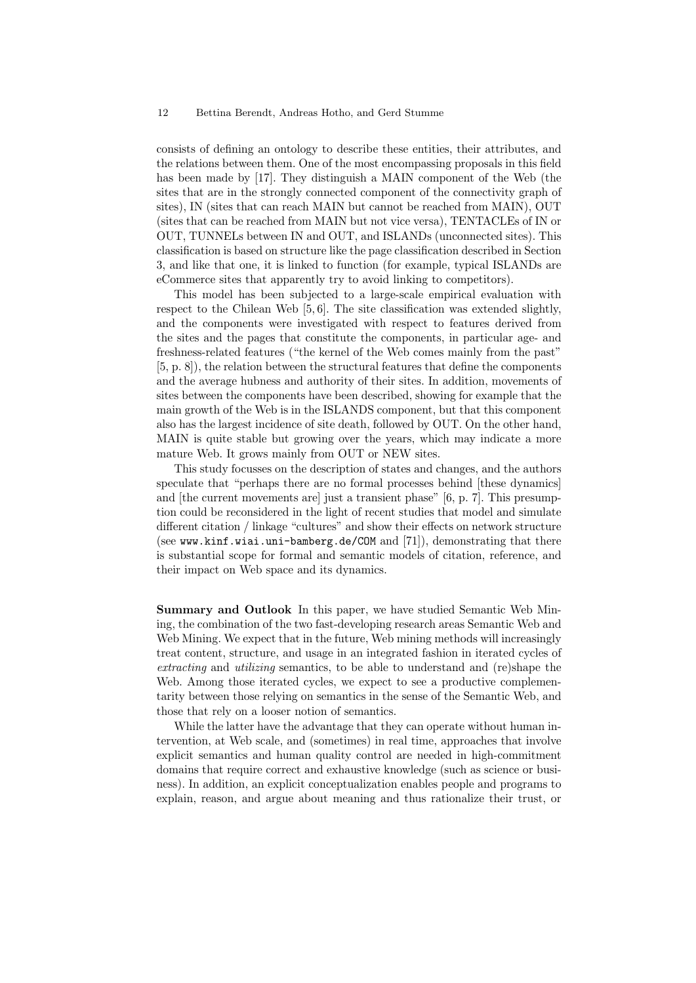consists of defining an ontology to describe these entities, their attributes, and the relations between them. One of the most encompassing proposals in this field has been made by [17]. They distinguish a MAIN component of the Web (the sites that are in the strongly connected component of the connectivity graph of sites), IN (sites that can reach MAIN but cannot be reached from MAIN), OUT (sites that can be reached from MAIN but not vice versa), TENTACLEs of IN or OUT, TUNNELs between IN and OUT, and ISLANDs (unconnected sites). This classification is based on structure like the page classification described in Section 3, and like that one, it is linked to function (for example, typical ISLANDs are eCommerce sites that apparently try to avoid linking to competitors).

This model has been subjected to a large-scale empirical evaluation with respect to the Chilean Web [5, 6]. The site classification was extended slightly, and the components were investigated with respect to features derived from the sites and the pages that constitute the components, in particular age- and freshness-related features ("the kernel of the Web comes mainly from the past" [5, p. 8]), the relation between the structural features that define the components and the average hubness and authority of their sites. In addition, movements of sites between the components have been described, showing for example that the main growth of the Web is in the ISLANDS component, but that this component also has the largest incidence of site death, followed by OUT. On the other hand, MAIN is quite stable but growing over the years, which may indicate a more mature Web. It grows mainly from OUT or NEW sites.

This study focusses on the description of states and changes, and the authors speculate that "perhaps there are no formal processes behind [these dynamics] and [the current movements are] just a transient phase" [6, p. 7]. This presumption could be reconsidered in the light of recent studies that model and simulate different citation / linkage "cultures" and show their effects on network structure (see www.kinf.wiai.uni-bamberg.de/COM and [71]), demonstrating that there is substantial scope for formal and semantic models of citation, reference, and their impact on Web space and its dynamics.

Summary and Outlook In this paper, we have studied Semantic Web Mining, the combination of the two fast-developing research areas Semantic Web and Web Mining. We expect that in the future, Web mining methods will increasingly treat content, structure, and usage in an integrated fashion in iterated cycles of extracting and utilizing semantics, to be able to understand and (re)shape the Web. Among those iterated cycles, we expect to see a productive complementarity between those relying on semantics in the sense of the Semantic Web, and those that rely on a looser notion of semantics.

While the latter have the advantage that they can operate without human intervention, at Web scale, and (sometimes) in real time, approaches that involve explicit semantics and human quality control are needed in high-commitment domains that require correct and exhaustive knowledge (such as science or business). In addition, an explicit conceptualization enables people and programs to explain, reason, and argue about meaning and thus rationalize their trust, or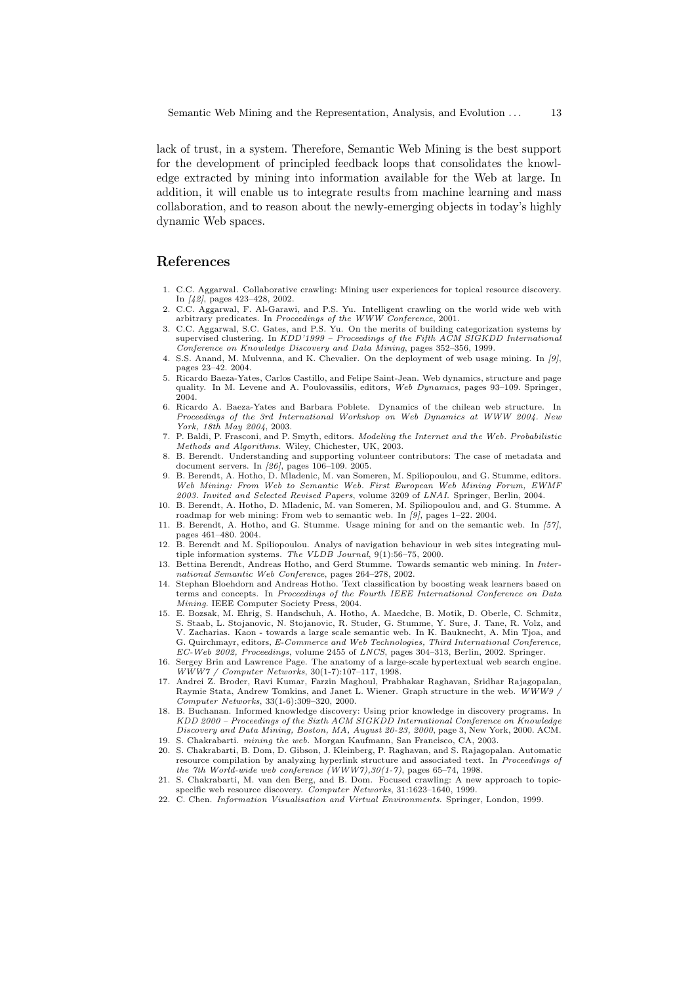lack of trust, in a system. Therefore, Semantic Web Mining is the best support for the development of principled feedback loops that consolidates the knowledge extracted by mining into information available for the Web at large. In addition, it will enable us to integrate results from machine learning and mass collaboration, and to reason about the newly-emerging objects in today's highly dynamic Web spaces.

### References

- 1. C.C. Aggarwal. Collaborative crawling: Mining user experiences for topical resource discovery. In [42], pages 423–428, 2002.
- 2. C.C. Aggarwal, F. Al-Garawi, and P.S. Yu. Intelligent crawling on the world wide web with arbitrary predicates. In Proceedings of the WWW Conference, 2001.
- 3. C.C. Aggarwal, S.C. Gates, and P.S. Yu. On the merits of building categorization systems by supervised clustering. In KDD'1999 - Proceedings of the Fifth ACM SIGKDD International Conference on Knowledge Discovery and Data Mining, pages 352–356, 1999.
- 4. S.S. Anand, M. Mulvenna, and K. Chevalier. On the deployment of web usage mining. In [9], pages 23–42. 2004.
- 5. Ricardo Baeza-Yates, Carlos Castillo, and Felipe Saint-Jean. Web dynamics, structure and page quality. In M. Levene and A. Poulovassilis, editors, Web Dynamics, pages 93–109. Springer, 2004.
- 6. Ricardo A. Baeza-Yates and Barbara Poblete. Dynamics of the chilean web structure. In Proceedings of the 3rd International Workshop on Web Dynamics at WWW 2004. New York, 18th May 2004, 2003.
- 7. P. Baldi, P. Frasconi, and P. Smyth, editors. Modeling the Internet and the Web. Probabilistic Methods and Algorithms. Wiley, Chichester, UK, 2003.
- 8. B. Berendt. Understanding and supporting volunteer contributors: The case of metadata and document servers. In [26], pages 106–109. 2005.
- 9. B. Berendt, A. Hotho, D. Mladenic, M. van Someren, M. Spiliopoulou, and G. Stumme, editors. Web Mining: From Web to Semantic Web. First European Web Mining Forum, EWMF 2003. Invited and Selected Revised Papers, volume 3209 of LNAI. Springer, Berlin, 2004.
- 10. B. Berendt, A. Hotho, D. Mladenic, M. van Someren, M. Spiliopoulou and, and G. Stumme. A roadmap for web mining: From web to semantic web. In [9], pages 1–22. 2004.
- 11. B. Berendt, A. Hotho, and G. Stumme. Usage mining for and on the semantic web. In [57], pages 461–480. 2004.
- 12. B. Berendt and M. Spiliopoulou. Analys of navigation behaviour in web sites integrating multiple information systems. The VLDB Journal,  $9(1):56-75$ , 2000.
- 13. Bettina Berendt, Andreas Hotho, and Gerd Stumme. Towards semantic web mining. In International Semantic Web Conference, pages 264–278, 2002.
- 14. Stephan Bloehdorn and Andreas Hotho. Text classification by boosting weak learners based on terms and concepts. In Proceedings of the Fourth IEEE International Conference on Data Mining. IEEE Computer Society Press, 2004.
- 15. E. Bozsak, M. Ehrig, S. Handschuh, A. Hotho, A. Maedche, B. Motik, D. Oberle, C. Schmitz, S. Staab, L. Stojanovic, N. Stojanovic, R. Studer, G. Stumme, Y. Sure, J. Tane, R. Volz, and V. Zacharias. Kaon - towards a large scale semantic web. In K. Bauknecht, A. Min Tjoa, and G. Quirchmayr, editors, E-Commerce and Web Technologies, Third International Conference, EC-Web 2002, Proceedings, volume 2455 of LNCS, pages 304–313, Berlin, 2002. Springer.
- 16. Sergey Brin and Lawrence Page. The anatomy of a large-scale hypertextual web search engine. WWW7 / Computer Networks, 30(1-7):107–117, 1998.
- 17. Andrei Z. Broder, Ravi Kumar, Farzin Maghoul, Prabhakar Raghavan, Sridhar Rajagopalan, Raymie Stata, Andrew Tomkins, and Janet L. Wiener. Graph structure in the web. WWW9 Computer Networks, 33(1-6):309–320, 2000.
- 18. B. Buchanan. Informed knowledge discovery: Using prior knowledge in discovery programs. In KDD 2000 – Proceedings of the Sixth ACM SIGKDD International Conference on Knowledge Discovery and Data Mining, Boston, MA, August 20-23, 2000, page 3, New York, 2000. ACM. 19. S. Chakrabarti. mining the web. Morgan Kaufmann, San Francisco, CA, 2003.
- 20. S. Chakrabarti, B. Dom, D. Gibson, J. Kleinberg, P. Raghavan, and S. Rajagopalan. Automatic
- resource compilation by analyzing hyperlink structure and associated text. In Proceedings of the 7th World-wide web conference (WWW7),  $30(1-7)$ , pages 65-74, 1998.
- 21. S. Chakrabarti, M. van den Berg, and B. Dom. Focused crawling: A new approach to topicspecific web resource discovery. Computer Networks, 31:1623-1640, 1999.
- 22. C. Chen. Information Visualisation and Virtual Environments. Springer, London, 1999.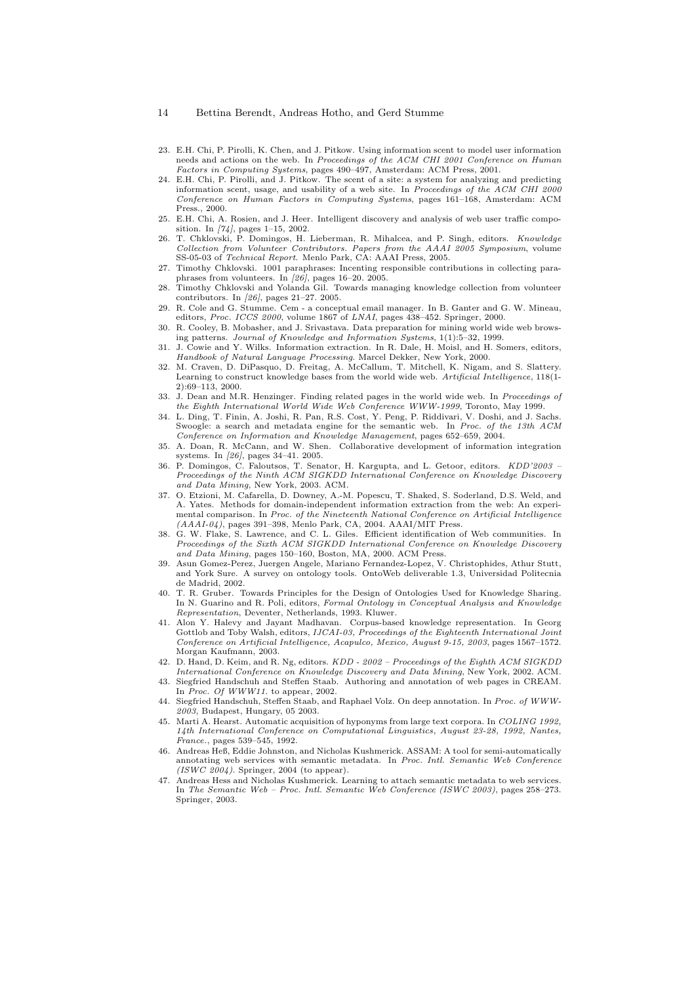- 23. E.H. Chi, P. Pirolli, K. Chen, and J. Pitkow. Using information scent to model user information needs and actions on the web. In Proceedings of the ACM CHI 2001 Conference on Human Factors in Computing Systems, pages 490–497, Amsterdam: ACM Press, 2001.
- 24. E.H. Chi, P. Pirolli, and J. Pitkow. The scent of a site: a system for analyzing and predicting information scent, usage, and usability of a web site. In Proceedings of the ACM CHI 2000 Conference on Human Factors in Computing Systems, pages 161–168, Amsterdam: ACM Press., 2000.
- 25. E.H. Chi, A. Rosien, and J. Heer. Intelligent discovery and analysis of web user traffic composition. In [74], pages 1–15, 2002.
- 26. T. Chklovski, P. Domingos, H. Lieberman, R. Mihalcea, and P. Singh, editors. Knowledge Collection from Volunteer Contributors. Papers from the AAAI 2005 Symposium, volume SS-05-03 of Technical Report. Menlo Park, CA: AAAI Press, 2005.
- 27. Timothy Chklovski. 1001 paraphrases: Incenting responsible contributions in collecting paraphrases from volunteers. In [26], pages 16–20. 2005.
- 28. Timothy Chklovski and Yolanda Gil. Towards managing knowledge collection from volunteer contributors. In [26], pages 21–27. 2005.
- 29. R. Cole and G. Stumme. Cem a conceptual email manager. In B. Ganter and G. W. Mineau, editors, Proc. ICCS 2000, volume 1867 of LNAI, pages 438-452. Springer, 2000.
- 30. R. Cooley, B. Mobasher, and J. Srivastava. Data preparation for mining world wide web browsing patterns. Journal of Knowledge and Information Systems, 1(1):5–32, 1999.
- 31. J. Cowie and Y. Wilks. Information extraction. In R. Dale, H. Moisl, and H. Somers, editors, Handbook of Natural Language Processing. Marcel Dekker, New York, 2000.
- 32. M. Craven, D. DiPasquo, D. Freitag, A. McCallum, T. Mitchell, K. Nigam, and S. Slattery. Learning to construct knowledge bases from the world wide web. Artificial Intelligence, 118(1-2):69–113, 2000.
- 33. J. Dean and M.R. Henzinger. Finding related pages in the world wide web. In Proceedings of the Eighth International World Wide Web Conference WWW-1999, Toronto, May 1999.
- 34. L. Ding, T. Finin, A. Joshi, R. Pan, R.S. Cost, Y. Peng, P. Riddivari, V. Doshi, and J. Sachs. Swoogle: a search and metadata engine for the semantic web. In Proc. of the 13th ACM Conference on Information and Knowledge Management, pages 652–659, 2004.
- 35. A. Doan, R. McCann, and W. Shen. Collaborative development of information integration systems. In [26], pages 34–41. 2005.
- 36. P. Domingos, C. Faloutsos, T. Senator, H. Kargupta, and L. Getoor, editors. KDD'2003 Proceedings of the Ninth ACM SIGKDD International Conference on Knowledge Discovery and Data Mining, New York, 2003. ACM.
- 37. O. Etzioni, M. Cafarella, D. Downey, A.-M. Popescu, T. Shaked, S. Soderland, D.S. Weld, and A. Yates. Methods for domain-independent information extraction from the web: An experimental comparison. In Proc. of the Nineteenth National Conference on Artificial Intelligence  $(AAAI-04)$ , pages 391–398, Menlo Park, CA, 2004. AAAI/MIT Press.
- 38. G. W. Flake, S. Lawrence, and C. L. Giles. Efficient identification of Web communities. In Proceedings of the Sixth ACM SIGKDD International Conference on Knowledge Discovery and Data Mining, pages 150–160, Boston, MA, 2000. ACM Press.
- 39. Asun Gomez-Perez, Juergen Angele, Mariano Fernandez-Lopez, V. Christophides, Athur Stutt, and York Sure. A survey on ontology tools. OntoWeb deliverable 1.3, Universidad Politecnia de Madrid, 2002.
- 40. T. R. Gruber. Towards Principles for the Design of Ontologies Used for Knowledge Sharing. In N. Guarino and R. Poli, editors, Formal Ontology in Conceptual Analysis and Knowledge Representation, Deventer, Netherlands, 1993. Kluwer.
- 41. Alon Y. Halevy and Jayant Madhavan. Corpus-based knowledge representation. In Georg Gottlob and Toby Walsh, editors, IJCAI-03, Proceedings of the Eighteenth International Joint Conference on Artificial Intelligence, Acapulco, Mexico, August 9-15, 2003, pages 1567–1572. Morgan Kaufmann, 2003.
- 42. D. Hand, D. Keim, and R. Ng, editors. KDD 2002 Proceedings of the Eighth ACM SIGKDD International Conference on Knowledge Discovery and Data Mining, New York, 2002. ACM.
- 43. Siegfried Handschuh and Steffen Staab. Authoring and annotation of web pages in CREAM. In Proc. Of WWW11. to appear, 2002.
- 44. Siegfried Handschuh, Steffen Staab, and Raphael Volz. On deep annotation. In Proc. of WWW- $2003$ , Budapest, Hungary, 05 2003.
- 45. Marti A. Hearst. Automatic acquisition of hyponyms from large text corpora. In COLING 1992, 14th International Conference on Computational Linguistics, August 23-28, 1992, Nantes, France., pages 539–545, 1992.
- 46. Andreas Heß, Eddie Johnston, and Nicholas Kushmerick. ASSAM: A tool for semi-automatically annotating web services with semantic metadata. In Proc. Intl. Semantic Web Conference  $(ISWC 2004)$ . Springer, 2004 (to appear).
- 47. Andreas Hess and Nicholas Kushmerick. Learning to attach semantic metadata to web services. In The Semantic Web – Proc. Intl. Semantic Web Conference (ISWC 2003), pages 258–273. Springer, 2003.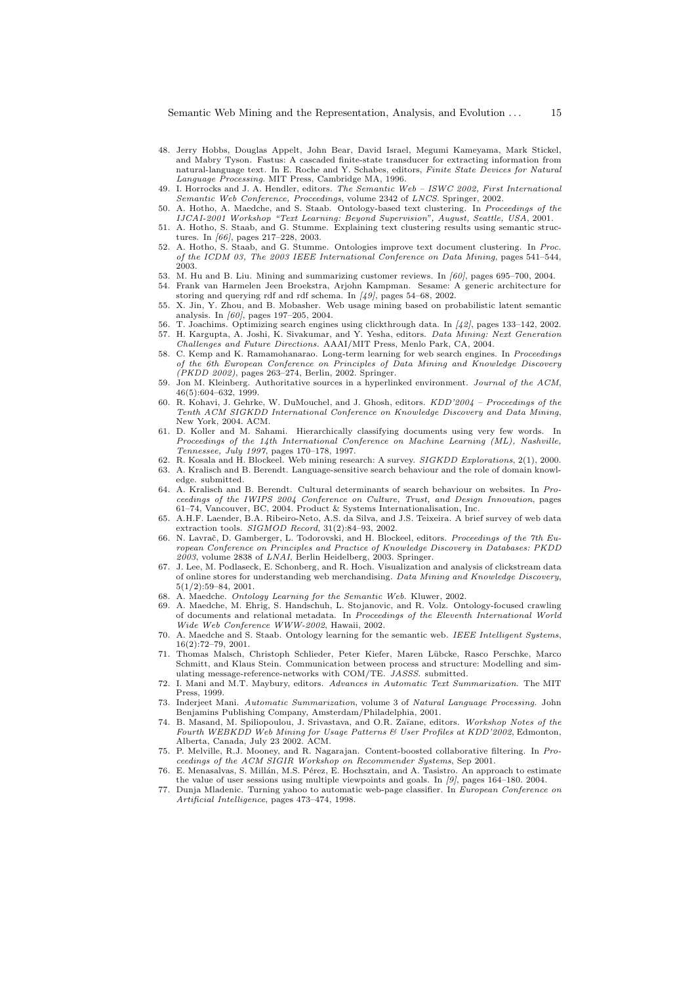- 48. Jerry Hobbs, Douglas Appelt, John Bear, David Israel, Megumi Kameyama, Mark Stickel, and Mabry Tyson. Fastus: A cascaded finite-state transducer for extracting information from natural-language text. In E. Roche and Y. Schabes, editors, Finite State Devices for Natural Language Processing. MIT Press, Cambridge MA, 1996.
- 49. I. Horrocks and J. A. Hendler, editors. The Semantic Web ISWC 2002, First International Semantic Web Conference, Proceedings, volume 2342 of LNCS. Springer, 2002.
- 50. A. Hotho, A. Maedche, and S. Staab. Ontology-based text clustering. In Proceedings of the IJCAI-2001 Workshop "Text Learning: Beyond Supervision", August, Seattle, USA, 2001.
- 51. A. Hotho, S. Staab, and G. Stumme. Explaining text clustering results using semantic structures. In [66], pages 217–228, 2003.
- 52. A. Hotho, S. Staab, and G. Stumme. Ontologies improve text document clustering. In Proc. of the ICDM 03, The 2003 IEEE International Conference on Data Mining, pages 541–544, 2003.
- 53. M. Hu and B. Liu. Mining and summarizing customer reviews. In [60], pages 695–700, 2004.
- 54. Frank van Harmelen Jeen Broekstra, Arjohn Kampman. Sesame: A generic architecture for storing and querying rdf and rdf schema. In [49], pages 54–68, 2002.
- 55. X. Jin, Y. Zhou, and B. Mobasher. Web usage mining based on probabilistic latent semantic analysis. In  $\frac{60}{1}$ , pages 197–205, 2004.
- 56. T. Joachims. Optimizing search engines using clickthrough data. In [42], pages 133–142, 2002. 57. H. Kargupta, A. Joshi, K. Sivakumar, and Y. Yesha, editors. Data Mining: Next Generation Challenges and Future Directions. AAAI/MIT Press, Menlo Park, CA, 2004.
- 58. C. Kemp and K. Ramamohanarao. Long-term learning for web search engines. In Proceedings of the 6th European Conference on Principles of Data Mining and Knowledge Discovery (PKDD 2002), pages 263–274, Berlin, 2002. Springer.
- 59. Jon M. Kleinberg. Authoritative sources in a hyperlinked environment. Journal of the ACM, 46(5):604–632, 1999.
- 60. R. Kohavi, J. Gehrke, W. DuMouchel, and J. Ghosh, editors. KDD'2004 Proceedings of the Tenth ACM SIGKDD International Conference on Knowledge Discovery and Data Mining, New York, 2004. ACM.
- 61. D. Koller and M. Sahami. Hierarchically classifying documents using very few words. In Proceedings of the 14th International Conference on Machine Learning (ML), Nashville, Tennessee, July 1997, pages 170–178, 1997.
- 62. R. Kosala and H. Blockeel. Web mining research: A survey. SIGKDD Explorations, 2(1), 2000.
- 63. A. Kralisch and B. Berendt. Language-sensitive search behaviour and the role of domain knowledge. submitted.
- 64. A. Kralisch and B. Berendt. Cultural determinants of search behaviour on websites. In Proceedings of the IWIPS 2004 Conference on Culture, Trust, and Design Innovation, pages 61–74, Vancouver, BC, 2004. Product & Systems Internationalisation, Inc.
- 65. A.H.F. Laender, B.A. Ribeiro-Neto, A.S. da Silva, and J.S. Teixeira. A brief survey of web data extraction tools.  $SIGMOD\ Record.$  31(2):84-93, 2002.
- 66. N. Lavrač, D. Gamberger, L. Todorovski, and H. Blockeel, editors. Proceedings of the 7th European Conference on Principles and Practice of Knowledge Discovery in Databases: PKDD  $2003$ , volume 2838 of LNAI, Berlin Heidelberg, 2003. Springer.
- 67. J. Lee, M. Podlaseck, E. Schonberg, and R. Hoch. Visualization and analysis of clickstream data of online stores for understanding web merchandising. Data Mining and Knowledge Discovery, 5(1/2):59–84, 2001.
- 68. A. Maedche. Ontology Learning for the Semantic Web. Kluwer, 2002.
- 69. A. Maedche, M. Ehrig, S. Handschuh, L. Stojanovic, and R. Volz. Ontology-focused crawling of documents and relational metadata. In Proceedings of the Eleventh International World Wide Web Conference WWW-2002, Hawaii, 2002.
- A. Maedche and S. Staab. Ontology learning for the semantic web. IEEE Intelligent Systems, 16(2):72–79, 2001.
- 71. Thomas Malsch, Christoph Schlieder, Peter Kiefer, Maren Lübcke, Rasco Perschke, Marco Schmitt, and Klaus Stein. Communication between process and structure: Modelling and simulating message-reference-networks with COM/TE. JASSS. submitted.
- 72. I. Mani and M.T. Maybury, editors. Advances in Automatic Text Summarization. The MIT Press, 1999.
- 73. Inderjeet Mani. Automatic Summarization, volume 3 of Natural Language Processing. John Benjamins Publishing Company, Amsterdam/Philadelphia, 2001.
- 74. B. Masand, M. Spiliopoulou, J. Srivastava, and O.R. Zaïane, editors. Workshop Notes of the Fourth WEBKDD Web Mining for Usage Patterns & User Profiles at KDD'2002, Edmonton, Alberta, Canada, July 23 2002. ACM.
- 75. P. Melville, R.J. Mooney, and R. Nagarajan. Content-boosted collaborative filtering. In Proceedings of the ACM SIGIR Workshop on Recommender Systems, Sep 2001.
- 76. E. Menasalvas, S. Millán, M.S. Pérez, E. Hochsztain, and A. Tasistro. An approach to estimate the value of user sessions using multiple viewpoints and goals. In  $\beta$ , pages 164–180. 2004.
- 77. Dunja Mladenic. Turning yahoo to automatic web-page classifier. In European Conference on Artificial Intelligence, pages 473–474, 1998.